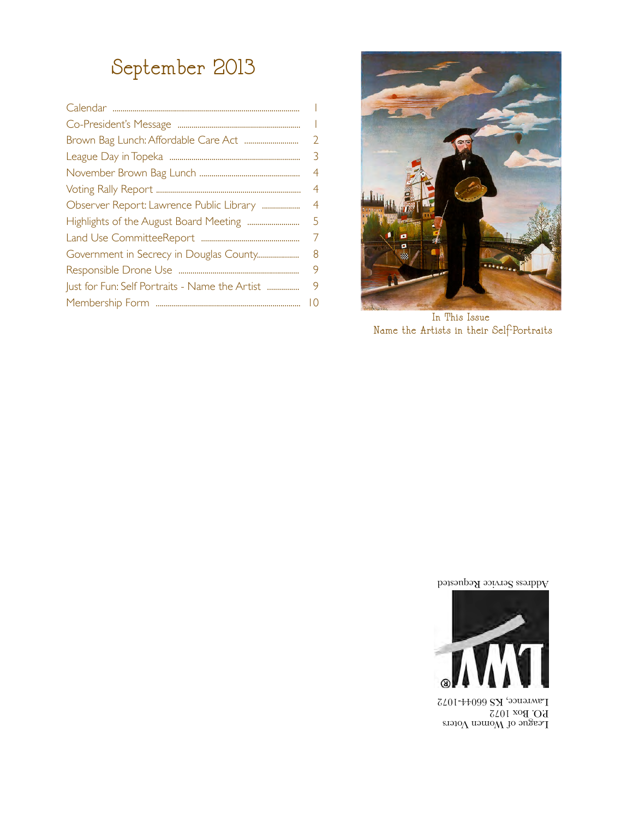## September 2013

|                                                | $\overline{\phantom{a}}$ |
|------------------------------------------------|--------------------------|
|                                                | $\mathbf{I}$             |
|                                                | $\overline{2}$           |
|                                                | 3                        |
|                                                | 4                        |
|                                                | 4                        |
| Observer Report: Lawrence Public Library       | 4                        |
|                                                | 5                        |
|                                                | 7                        |
| Government in Secrecy in Douglas County        | 8                        |
|                                                | 9                        |
| Just for Fun: Self Portraits - Name the Artist | 9                        |
|                                                | 10                       |
|                                                |                          |



In This Issue Name the Artists in their Self-Portraits

Address Service Requested



League of Women Voters P.O. Box 1072 Lawrence, KS 66044-1072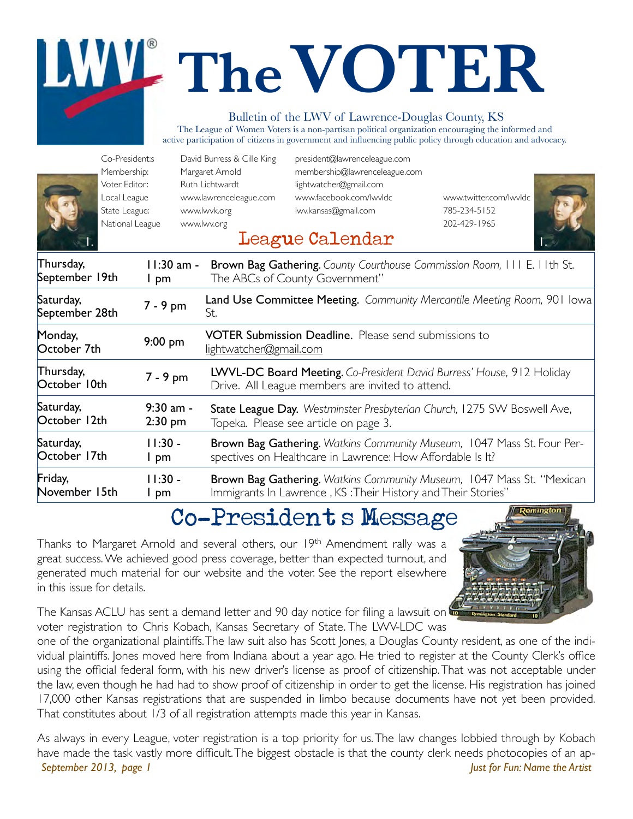# **TheVOTER**

#### Bulletin of the LWV of Lawrence-Douglas County, KS

The League of Women Voters is a non-partisan political organization encouraging the informed and active participation of citizens in government and influencing public policy through education and advocacy.

| Co-President:s<br>Membership:<br>Voter Editor:<br>Local League<br>State League:<br>National League |                        | David Burress & Cille King<br>Margaret Arnold<br>Ruth Lichtwardt<br>www.lawrenceleague.com<br>www.lwvk.org<br>www.lwv.org | president@lawrenceleague.com<br>membership@lawrenceleague.com<br>lightwatcher@gmail.com<br>www.facebook.com/lwvldc<br>lwv.kansas@gmail.com<br>League Calendar | www.twitter.com/lwvldc<br>785-234-5152<br>202-429-1965                  |
|----------------------------------------------------------------------------------------------------|------------------------|---------------------------------------------------------------------------------------------------------------------------|---------------------------------------------------------------------------------------------------------------------------------------------------------------|-------------------------------------------------------------------------|
| Thursday,<br>September 19th                                                                        | 11:30 am -<br>I pm     |                                                                                                                           | The ABCs of County Government"                                                                                                                                | Brown Bag Gathering. County Courthouse Commission Room, III E. IIth St. |
| Saturday,<br>September 28th                                                                        | 7 - 9 pm               | St.                                                                                                                       |                                                                                                                                                               | Land Use Committee Meeting. Community Mercantile Meeting Room, 901 Iowa |
| Monday,<br>October 7th                                                                             | $9:00$ pm              | lightwatcher@gmail.com                                                                                                    | <b>VOTER Submission Deadline.</b> Please send submissions to                                                                                                  |                                                                         |
| Thursday,<br>October 10th                                                                          | 7 - 9 pm               |                                                                                                                           | Drive. All League members are invited to attend.                                                                                                              | LWVL-DC Board Meeting. Co-President David Burress' House, 912 Holiday   |
| Saturday,<br>October 12th                                                                          | 9:30 am -<br>$2:30$ pm |                                                                                                                           | Topeka. Please see article on page 3.                                                                                                                         | State League Day. Westminster Presbyterian Church, 1275 SW Boswell Ave, |
| Saturday,<br>October 17th                                                                          | $11:30 -$<br>I pm      |                                                                                                                           | spectives on Healthcare in Lawrence: How Affordable Is It?                                                                                                    | Brown Bag Gathering. Watkins Community Museum, 1047 Mass St. Four Per-  |
| Friday,<br>November 15th                                                                           | $11:30 -$<br>I pm      |                                                                                                                           | Immigrants In Lawrence, KS: Their History and Their Stories"                                                                                                  | Brown Bag Gathering. Watkins Community Museum, 1047 Mass St. "Mexican   |

### Co-President's Message

Thanks to Margaret Arnold and several others, our 19<sup>th</sup> Amendment rally was a great success. We achieved good press coverage, better than expected turnout, and generated much material for our website and the voter. See the report elsewhere in this issue for details.



The Kansas ACLU has sent a demand letter and 90 day notice for filing a lawsuit on voter registration to Chris Kobach, Kansas Secretary of State. The LWV-LDC was

one of the organizational plaintiffs. The law suit also has Scott Jones, a Douglas County resident, as one of the individual plaintiffs. Jones moved here from Indiana about a year ago. He tried to register at the County Clerk's office using the official federal form, with his new driver's license as proof of citizenship. That was not acceptable under the law, even though he had had to show proof of citizenship in order to get the license. His registration has joined 17,000 other Kansas registrations that are suspended in limbo because documents have not yet been provided. That constitutes about 1/3 of all registration attempts made this year in Kansas.

As always in every League, voter registration is a top priority for us. The law changes lobbied through by Kobach have made the task vastly more difficult. The biggest obstacle is that the county clerk needs photocopies of an ap-*September 2013, page 1 Just for Fun: Name the Artist*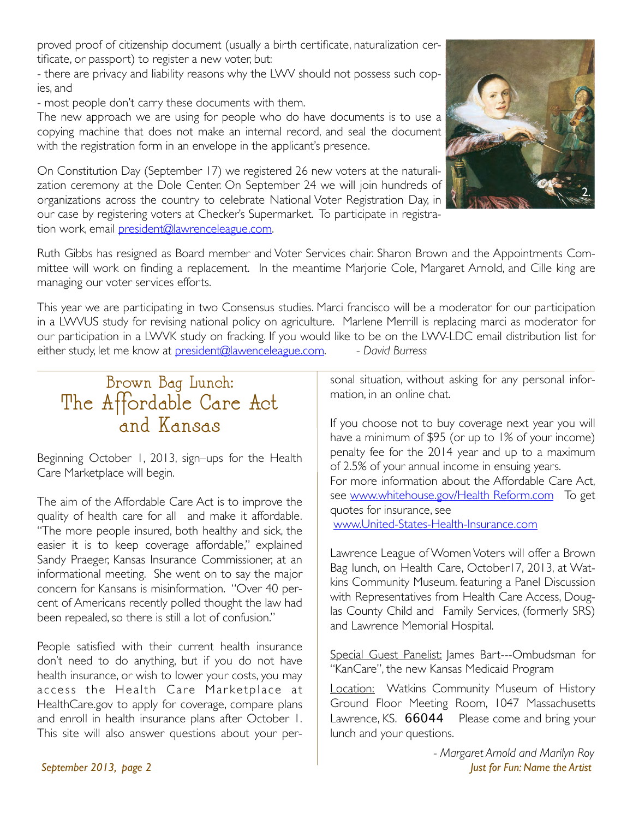proved proof of citizenship document (usually a birth certificate, naturalization certificate, or passport) to register a new voter, but:

- there are privacy and liability reasons why the LWV should not possess such copies, and

- most people don't carry these documents with them.

The new approach we are using for people who do have documents is to use a copying machine that does not make an internal record, and seal the document with the registration form in an envelope in the applicant's presence.

On Constitution Day (September 17) we registered 26 new voters at the naturalization ceremony at the Dole Center. On September 24 we will join hundreds of organizations across the country to celebrate National Voter Registration Day, in our case by registering voters at Checker's Supermarket. To participate in registration work, email president@lawrenceleague.com.



This year we are participating in two Consensus studies. Marci francisco will be a moderator for our participation in a LWVUS study for revising national policy on agriculture. Marlene Merrill is replacing marci as moderator for our participation in a LWVK study on fracking. If you would like to be on the LWV-LDC email distribution list for either study, let me know at president@lawenceleague.com. *- David Burress*

#### Brown Bag Lunch: The Affordable Care Act and Kansas

Beginning October 1, 2013, sign–ups for the Health Care Marketplace will begin.

The aim of the Affordable Care Act is to improve the quality of health care for all and make it affordable. "The more people insured, both healthy and sick, the easier it is to keep coverage affordable," explained Sandy Praeger, Kansas Insurance Commissioner, at an informational meeting. She went on to say the major concern for Kansans is misinformation. "Over 40 percent of Americans recently polled thought the law had been repealed, so there is still a lot of confusion."

People satisfied with their current health insurance don't need to do anything, but if you do not have health insurance, or wish to lower your costs, you may access the Health Care Marketplace at HealthCare.gov to apply for coverage, compare plans and enroll in health insurance plans after October 1. This site will also answer questions about your personal situation, without asking for any personal information, in an online chat.

If you choose not to buy coverage next year you will have a minimum of \$95 (or up to 1% of your income) penalty fee for the 2014 year and up to a maximum of 2.5% of your annual income in ensuing years. For more information about the Affordable Care Act, see www.whitehouse.gov/Health Reform.com To get quotes for insurance, see www.United-States-Health-Insurance.com

Lawrence League of Women Voters will offer a Brown Bag lunch, on Health Care, October17, 2013, at Watkins Community Museum. featuring a Panel Discussion with Representatives from Health Care Access, Douglas County Child and Family Services, (formerly SRS) and Lawrence Memorial Hospital.

Special Guest Panelist: James Bart---Ombudsman for "KanCare", the new Kansas Medicaid Program

Location: Watkins Community Museum of History Ground Floor Meeting Room, 1047 Massachusetts Lawrence, KS. 66044 Please come and bring your lunch and your questions.



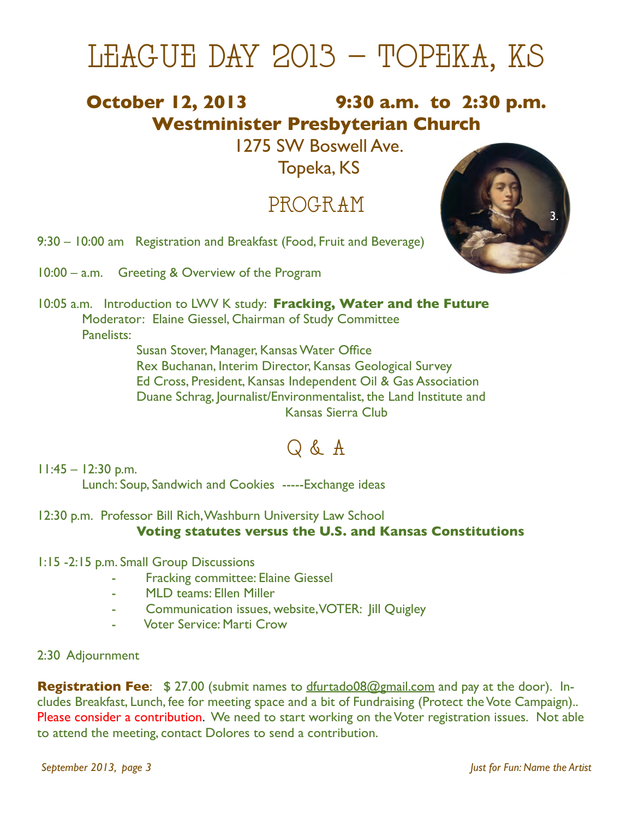## LEAGUE DAY 2013 – TOPEKA, KS

#### **October 12, 2013!!!!!!!!!!!!!!! 9:30 a.m. to 2:30 p.m. Westminister Presbyterian Church**

1275 SW Boswell Ave.

Topeka, KS

#### PROGRAM

9:30 – 10:00 am Registration and Breakfast (Food, Fruit and Beverage)

10:00 – a.m. Greeting & Overview of the Program



10:05 a.m.!! Introduction to LWV K study: **Fracking, Water and the Future** Moderator: Elaine Giessel, Chairman of Study Committee Panelists:

Susan Stover, Manager, Kansas Water Office Rex Buchanan, Interim Director, Kansas Geological Survey Ed Cross, President, Kansas Independent Oil & Gas Association Duane Schrag, Journalist/Environmentalist, the Land Institute and Kansas Sierra Club

### Q & A

 $11:45 - 12:30$  p.m. Lunch: Soup, Sandwich and Cookies -----Exchange ideas

12:30 p.m. Professor Bill Rich, Washburn University Law School **Voting statutes versus the U.S. and Kansas Constitutions**

- 1:15 -2:15 p.m. Small Group Discussions
	- **Fracking committee: Elaine Giessel**
	- MLD teams: Ellen Miller
	- Communication issues, website, VOTER: Jill Quigley
	- **Voter Service: Marti Crow**
- 2:30 Adjournment

**Registration Fee**: \$ 27.00 (submit names to dfurtado08@gmail.com and pay at the door). Includes Breakfast, Lunch, fee for meeting space and a bit of Fundraising (Protect the Vote Campaign).. Please consider a contribution. We need to start working on the Voter registration issues. Not able to attend the meeting, contact Dolores to send a contribution.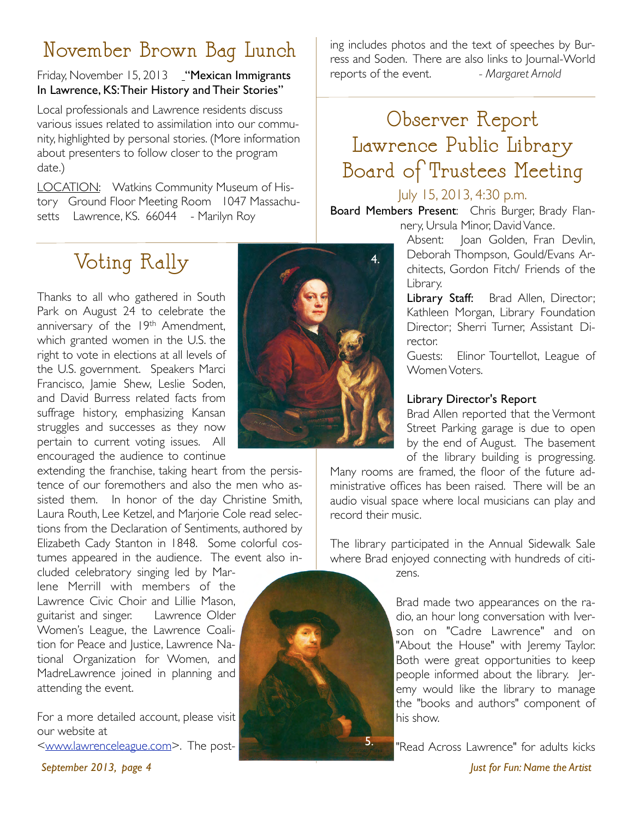#### November Brown Bag Lunch

#### Friday, November 15, 2013 "Mexican Immigrants In Lawrence, KS: Their History and Their Stories"

Local professionals and Lawrence residents discuss various issues related to assimilation into our community, highlighted by personal stories. (More information about presenters to follow closer to the program date.)

LOCATION: Watkins Community Museum of History Ground Floor Meeting Room 1047 Massachusetts Lawrence, KS. 66044 - Marilyn Roy

## Voting Rally

Thanks to all who gathered in South Park on August 24 to celebrate the anniversary of the 19th Amendment, which granted women in the U.S. the right to vote in elections at all levels of the U.S. government. Speakers Marci Francisco, Jamie Shew, Leslie Soden, and David Burress related facts from suffrage history, emphasizing Kansan struggles and successes as they now pertain to current voting issues. All encouraged the audience to continue

extending the franchise, taking heart from the persistence of our foremothers and also the men who assisted them. In honor of the day Christine Smith, Laura Routh, Lee Ketzel, and Marjorie Cole read selections from the Declaration of Sentiments, authored by Elizabeth Cady Stanton in 1848. Some colorful costumes appeared in the audience. The event also in-

cluded celebratory singing led by Marlene Merrill with members of the Lawrence Civic Choir and Lillie Mason, guitarist and singer. Lawrence Older Women's League, the Lawrence Coalition for Peace and Justice, Lawrence National Organization for Women, and MadreLawrence joined in planning and attending the event.

For a more detailed account, please visit our website at <www.lawrenceleague.com>. The post-



ing includes photos and the text of speeches by Burress and Soden. There are also links to Journal-World reports of the event. *- Margaret Arnold* 

## Observer Report Lawrence Public Library Board of Trustees Meeting

#### July 15, 2013, 4:30 p.m.

Board Members Present: Chris Burger, Brady Flannery, Ursula Minor, David Vance.

> Absent: Joan Golden, Fran Devlin, Deborah Thompson, Gould/Evans Architects, Gordon Fitch/ Friends of the Library.

> Library Staff: Brad Allen, Director; Kathleen Morgan, Library Foundation Director; Sherri Turner, Assistant Director.

> Guests: Elinor Tourtellot, League of Women Voters.

#### Library Director's Report

Brad Allen reported that the Vermont Street Parking garage is due to open by the end of August. The basement of the library building is progressing.

Many rooms are framed, the floor of the future administrative offices has been raised. There will be an audio visual space where local musicians can play and record their music.

The library participated in the Annual Sidewalk Sale where Brad enjoyed connecting with hundreds of citi-

zens.

5.



"Read Across Lawrence" for adults kicks

*September 2013, page 4 Just for Fun: Name the Artist*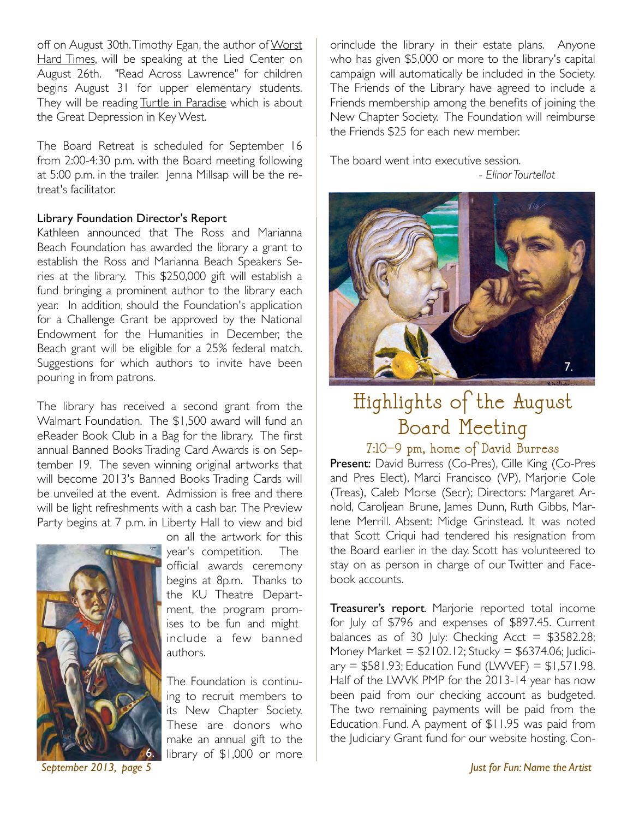off on August 30th. Timothy Egan, the author of Worst Hard Times, will be speaking at the Lied Center on August 26th. "Read Across Lawrence" for children begins August 31 for upper elementary students. They will be reading Turtle in Paradise which is about the Great Depression in Key West.

The Board Retreat is scheduled for September 16 from 2:00-4:30 p.m. with the Board meeting following at 5:00 p.m. in the trailer. Jenna Millsap will be the retreat's facilitator.

#### Library Foundation Director's Report

Kathleen announced that The Ross and Marianna Beach Foundation has awarded the library a grant to establish the Ross and Marianna Beach Speakers Series at the library. This \$250,000 gift will establish a fund bringing a prominent author to the library each year. In addition, should the Foundation's application for a Challenge Grant be approved by the National Endowment for the Humanities in December, the Beach grant will be eligible for a 25% federal match. Suggestions for which authors to invite have been pouring in from patrons.

The library has received a second grant from the Walmart Foundation. The \$1,500 award will fund an eReader Book Club in a Bag for the library. The first annual Banned Books Trading Card Awards is on September 19. The seven winning original artworks that will become 2013's Banned Books Trading Cards will be unveiled at the event. Admission is free and there will be light refreshments with a cash bar. The Preview Party begins at 7 p.m. in Liberty Hall to view and bid



on all the artwork for this year's competition. The official awards ceremony begins at 8p.m. Thanks to the KU Theatre Department, the program promises to be fun and might include a few banned authors.

The Foundation is continuing to recruit members to its New Chapter Society. These are donors who make an annual gift to the library of \$1,000 or more

orinclude the library in their estate plans. Anyone who has given \$5,000 or more to the library's capital campaign will automatically be included in the Society. The Friends of the Library have agreed to include a Friends membership among the benefits of joining the New Chapter Society. The Foundation will reimburse the Friends \$25 for each new member.

The board went into executive session. !!!! *- Elinor Tourtellot*



## Highlights of the August Board Meeting

7:10–9 pm, home of David Burress

Present: David Burress (Co-Pres), Cille King (Co-Pres and Pres Elect), Marci Francisco (VP), Marjorie Cole (Treas), Caleb Morse (Secr); Directors: Margaret Arnold, Caroljean Brune, James Dunn, Ruth Gibbs, Marlene Merrill. Absent: Midge Grinstead. It was noted that Scott Criqui had tendered his resignation from the Board earlier in the day. Scott has volunteered to stay on as person in charge of our Twitter and Facebook accounts.

Treasurer's report. Marjorie reported total income for July of \$796 and expenses of \$897.45. Current balances as of 30 July: Checking Acct =  $$3582.28$ ; Money Market =  $$2102.12$ ; Stucky =  $$6374.06$ ; Judici $ary = $581.93$ ; Education Fund (LWVEF) = \$1,571.98. Half of the LWVK PMP for the 2013-14 year has now been paid from our checking account as budgeted. The two remaining payments will be paid from the Education Fund. A payment of \$11.95 was paid from the Judiciary Grant fund for our website hosting. Con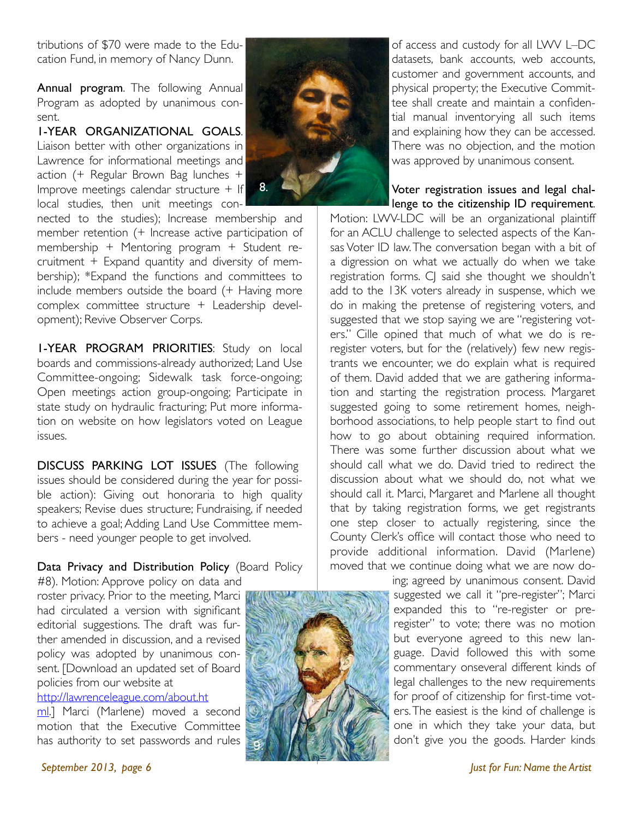tributions of \$70 were made to the Education Fund, in memory of Nancy Dunn.

Annual program. The following Annual Program as adopted by unanimous consent.

1-YEAR ORGANIZATIONAL GOALS. Liaison better with other organizations in Lawrence for informational meetings and action (+ Regular Brown Bag lunches + Improve meetings calendar structure + If local studies, then unit meetings con-

nected to the studies); Increase membership and member retention (+ Increase active participation of membership + Mentoring program + Student recruitment + Expand quantity and diversity of membership); \*Expand the functions and committees to include members outside the board (+ Having more complex committee structure + Leadership development); Revive Observer Corps.

1-YEAR PROGRAM PRIORITIES: Study on local boards and commissions-already authorized; Land Use Committee-ongoing; Sidewalk task force-ongoing; Open meetings action group-ongoing; Participate in state study on hydraulic fracturing; Put more information on website on how legislators voted on League issues.

DISCUSS PARKING LOT ISSUES (The following issues should be considered during the year for possible action): Giving out honoraria to high quality speakers; Revise dues structure; Fundraising, if needed to achieve a goal; Adding Land Use Committee members - need younger people to get involved.

#### Data Privacy and Distribution Policy (Board Policy

#8). Motion: Approve policy on data and roster privacy. Prior to the meeting, Marci had circulated a version with significant editorial suggestions. The draft was further amended in discussion, and a revised policy was adopted by unanimous consent. [Download an updated set of Board policies from our website at

http://lawrenceleague.com/about.ht

ml.] Marci (Marlene) moved a second motion that the Executive Committee has authority to set passwords and rules



of access and custody for all LWV L–DC datasets, bank accounts, web accounts, customer and government accounts, and physical property; the Executive Committee shall create and maintain a confidential manual inventorying all such items and explaining how they can be accessed. There was no objection, and the motion was approved by unanimous consent.

Voter registration issues and legal challenge to the citizenship ID requirement.

Motion: LWV-LDC will be an organizational plaintiff for an ACLU challenge to selected aspects of the Kansas Voter ID law. The conversation began with a bit of a digression on what we actually do when we take registration forms. CJ said she thought we shouldn't add to the 13K voters already in suspense, which we do in making the pretense of registering voters, and suggested that we stop saying we are "registering voters." Cille opined that much of what we do is reregister voters, but for the (relatively) few new registrants we encounter, we do explain what is required of them. David added that we are gathering information and starting the registration process. Margaret suggested going to some retirement homes, neighborhood associations, to help people start to find out how to go about obtaining required information. There was some further discussion about what we should call what we do. David tried to redirect the discussion about what we should do, not what we should call it. Marci, Margaret and Marlene all thought that by taking registration forms, we get registrants one step closer to actually registering, since the County Clerk's office will contact those who need to provide additional information. David (Marlene) moved that we continue doing what we are now do-

> ing; agreed by unanimous consent. David suggested we call it "pre-register"; Marci expanded this to "re-register or preregister" to vote; there was no motion but everyone agreed to this new language. David followed this with some commentary onseveral different kinds of legal challenges to the new requirements for proof of citizenship for first-time voters. The easiest is the kind of challenge is one in which they take your data, but don't give you the goods. Harder kinds

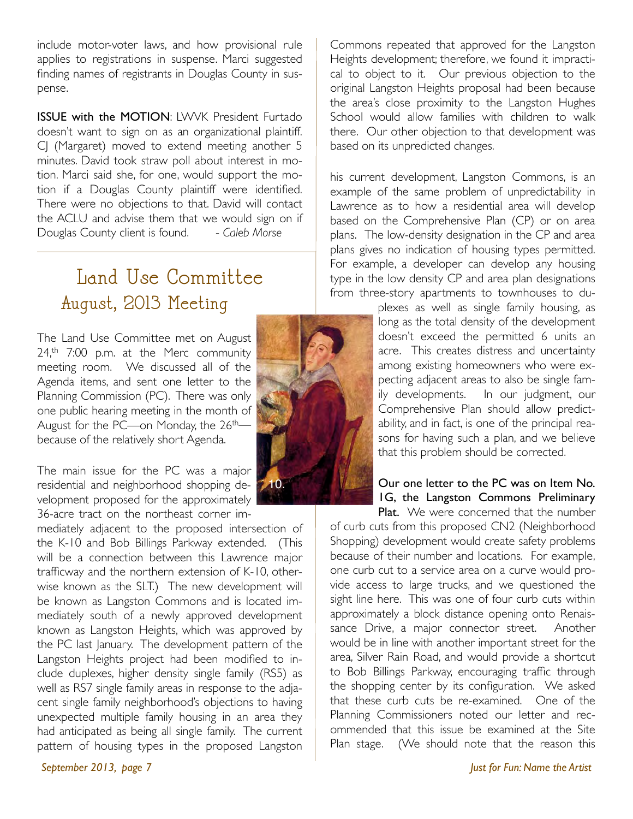include motor-voter laws, and how provisional rule applies to registrations in suspense. Marci suggested finding names of registrants in Douglas County in suspense.

ISSUE with the MOTION: LWVK President Furtado doesn't want to sign on as an organizational plaintiff. CJ (Margaret) moved to extend meeting another 5 minutes. David took straw poll about interest in motion. Marci said she, for one, would support the motion if a Douglas County plaintiff were identified. There were no objections to that. David will contact the ACLU and advise them that we would sign on if Douglas County client is found. - *Caleb Morse*

#### Land Use Committee August, 2013 Meeting

The Land Use Committee met on August 24,<sup>th</sup> 7:00 p.m. at the Merc community meeting room. We discussed all of the Agenda items, and sent one letter to the Planning Commission (PC). There was only one public hearing meeting in the month of August for the PC—on Monday, the 26<sup>th</sup> because of the relatively short Agenda.

The main issue for the PC was a major residential and neighborhood shopping de-10.velopment proposed for the approximately 36-acre tract on the northeast corner im-

mediately adjacent to the proposed intersection of the K-10 and Bob Billings Parkway extended. (This will be a connection between this Lawrence major trafficway and the northern extension of K-10, otherwise known as the SLT.) The new development will be known as Langston Commons and is located immediately south of a newly approved development known as Langston Heights, which was approved by the PC last January. The development pattern of the Langston Heights project had been modified to include duplexes, higher density single family (RS5) as well as RS7 single family areas in response to the adjacent single family neighborhood's objections to having unexpected multiple family housing in an area they had anticipated as being all single family. The current pattern of housing types in the proposed Langston



Commons repeated that approved for the Langston Heights development; therefore, we found it impractical to object to it. Our previous objection to the original Langston Heights proposal had been because the area's close proximity to the Langston Hughes School would allow families with children to walk there. Our other objection to that development was based on its unpredicted changes.

his current development, Langston Commons, is an example of the same problem of unpredictability in Lawrence as to how a residential area will develop based on the Comprehensive Plan (CP) or on area plans. The low-density designation in the CP and area plans gives no indication of housing types permitted. For example, a developer can develop any housing type in the low density CP and area plan designations from three-story apartments to townhouses to du-

> plexes as well as single family housing, as long as the total density of the development doesn't exceed the permitted 6 units an acre. This creates distress and uncertainty among existing homeowners who were expecting adjacent areas to also be single family developments. In our judgment, our Comprehensive Plan should allow predictability, and in fact, is one of the principal reasons for having such a plan, and we believe that this problem should be corrected.

> Our one letter to the PC was on Item No. 1G, the Langston Commons Preliminary Plat. We were concerned that the number

of curb cuts from this proposed CN2 (Neighborhood Shopping) development would create safety problems because of their number and locations. For example, one curb cut to a service area on a curve would provide access to large trucks, and we questioned the sight line here. This was one of four curb cuts within approximately a block distance opening onto Renaissance Drive, a major connector street. Another would be in line with another important street for the area, Silver Rain Road, and would provide a shortcut to Bob Billings Parkway, encouraging traffic through the shopping center by its configuration. We asked that these curb cuts be re-examined. One of the Planning Commissioners noted our letter and recommended that this issue be examined at the Site Plan stage. (We should note that the reason this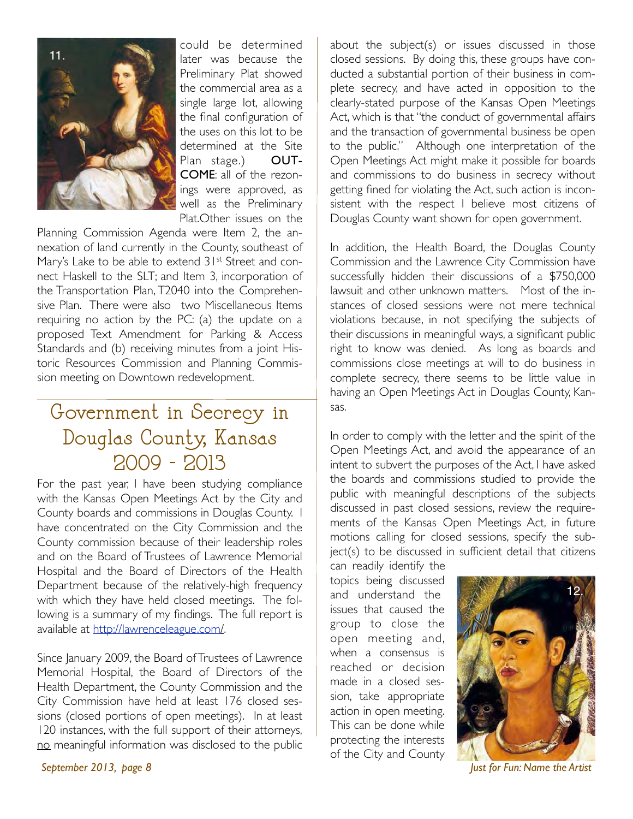

could be determined later was because the Preliminary Plat showed the commercial area as a single large lot, allowing the final configuration of the uses on this lot to be determined at the Site<br>Plan stage.) **OUT-**Plan stage.) COME: all of the rezonings were approved, as well as the Preliminary Plat.Other issues on the

Planning Commission Agenda were Item 2, the annexation of land currently in the County, southeast of Mary's Lake to be able to extend 31<sup>st</sup> Street and connect Haskell to the SLT; and Item 3, incorporation of the Transportation Plan, T2040 into the Comprehensive Plan. There were also two Miscellaneous Items requiring no action by the PC: (a) the update on a proposed Text Amendment for Parking & Access Standards and (b) receiving minutes from a joint Historic Resources Commission and Planning Commission meeting on Downtown redevelopment.

#### Government in Secrecy in Douglas County, Kansas 2009 - 2013

For the past year, I have been studying compliance with the Kansas Open Meetings Act by the City and County boards and commissions in Douglas County. I have concentrated on the City Commission and the County commission because of their leadership roles and on the Board of Trustees of Lawrence Memorial Hospital and the Board of Directors of the Health Department because of the relatively-high frequency with which they have held closed meetings. The following is a summary of my findings. The full report is available at http://lawrenceleague.com/.

Since January 2009, the Board of Trustees of Lawrence Memorial Hospital, the Board of Directors of the Health Department, the County Commission and the City Commission have held at least 176 closed sessions (closed portions of open meetings). In at least 120 instances, with the full support of their attorneys, no meaningful information was disclosed to the public about the subject(s) or issues discussed in those closed sessions. By doing this, these groups have conducted a substantial portion of their business in complete secrecy, and have acted in opposition to the clearly-stated purpose of the Kansas Open Meetings Act, which is that "the conduct of governmental affairs and the transaction of governmental business be open to the public." Although one interpretation of the Open Meetings Act might make it possible for boards and commissions to do business in secrecy without getting fined for violating the Act, such action is inconsistent with the respect I believe most citizens of Douglas County want shown for open government.

In addition, the Health Board, the Douglas County Commission and the Lawrence City Commission have successfully hidden their discussions of a \$750,000 lawsuit and other unknown matters. Most of the instances of closed sessions were not mere technical violations because, in not specifying the subjects of their discussions in meaningful ways, a significant public right to know was denied. As long as boards and commissions close meetings at will to do business in complete secrecy, there seems to be little value in having an Open Meetings Act in Douglas County, Kansas.

In order to comply with the letter and the spirit of the Open Meetings Act, and avoid the appearance of an intent to subvert the purposes of the Act, I have asked the boards and commissions studied to provide the public with meaningful descriptions of the subjects discussed in past closed sessions, review the requirements of the Kansas Open Meetings Act, in future motions calling for closed sessions, specify the subject(s) to be discussed in sufficient detail that citizens

can readily identify the topics being discussed and understand the issues that caused the group to close the open meeting and, when a consensus is reached or decision made in a closed session, take appropriate action in open meeting. This can be done while protecting the interests of the City and County



*September 2013, page 8 Just for Fun: Name the Artist*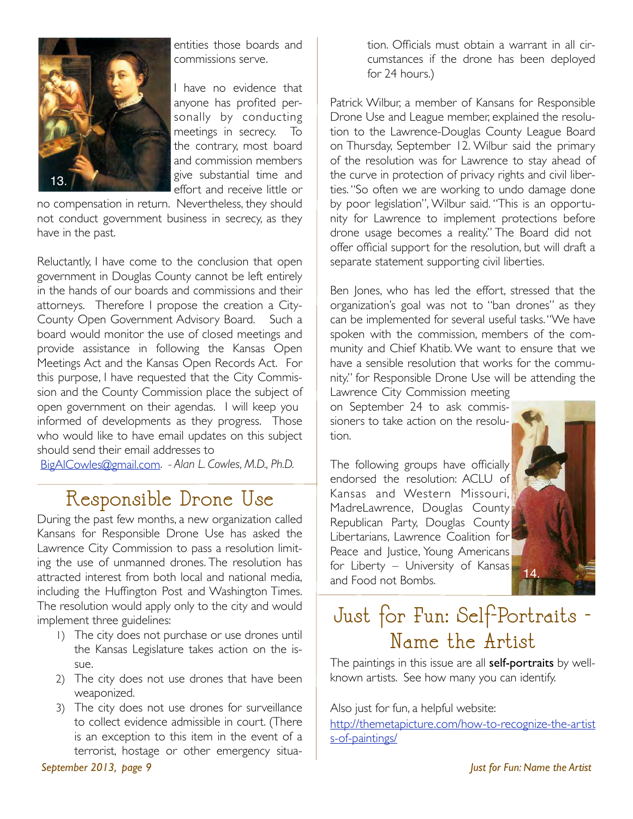

entities those boards and commissions serve.

I have no evidence that anyone has profited personally by conducting meetings in secrecy. To the contrary, most board and commission members give substantial time and effort and receive little or

no compensation in return. Nevertheless, they should not conduct government business in secrecy, as they have in the past.

Reluctantly, I have come to the conclusion that open government in Douglas County cannot be left entirely in the hands of our boards and commissions and their attorneys. Therefore I propose the creation a City-County Open Government Advisory Board. Such a board would monitor the use of closed meetings and provide assistance in following the Kansas Open Meetings Act and the Kansas Open Records Act. For this purpose, I have requested that the City Commission and the County Commission place the subject of open government on their agendas. I will keep you informed of developments as they progress. Those who would like to have email updates on this subject should send their email addresses to

BigAlCowles@gmail.com. *- Alan L. Cowles, M.D., Ph.D.*

#### Responsible Drone Use

During the past few months, a new organization called Kansans for Responsible Drone Use has asked the Lawrence City Commission to pass a resolution limiting the use of unmanned drones. The resolution has attracted interest from both local and national media, including the Huffington Post and Washington Times. The resolution would apply only to the city and would implement three guidelines:

- 1) The city does not purchase or use drones until the Kansas Legislature takes action on the issue.
- 2) The city does not use drones that have been weaponized.
- 3) The city does not use drones for surveillance to collect evidence admissible in court. (There is an exception to this item in the event of a terrorist, hostage or other emergency situa-

tion. Officials must obtain a warrant in all circumstances if the drone has been deployed for 24 hours.)

Patrick Wilbur, a member of Kansans for Responsible Drone Use and League member, explained the resolution to the Lawrence-Douglas County League Board on Thursday, September 12. Wilbur said the primary of the resolution was for Lawrence to stay ahead of the curve in protection of privacy rights and civil liberties. "So often we are working to undo damage done by poor legislation", Wilbur said. "This is an opportunity for Lawrence to implement protections before drone usage becomes a reality." The Board did not offer official support for the resolution, but will draft a separate statement supporting civil liberties.

Ben Jones, who has led the effort, stressed that the organization's goal was not to "ban drones" as they can be implemented for several useful tasks. "We have spoken with the commission, members of the community and Chief Khatib. We want to ensure that we have a sensible resolution that works for the community." for Responsible Drone Use will be attending the

Lawrence City Commission meeting on September 24 to ask commissioners to take action on the resolution.

The following groups have officially endorsed the resolution: ACLU of Kansas and Western Missouri, MadreLawrence, Douglas County Republican Party, Douglas County Libertarians, Lawrence Coalition for Peace and Justice, Young Americans for Liberty – University of Kansas and Food not Bombs.



#### Just for Fun: Self-Portraits - Name the Artist

The paintings in this issue are all **self-portraits** by wellknown artists. See how many you can identify.

Also just for fun, a helpful website: http://themetapicture.com/how-to-recognize-the-artist s-of-paintings/